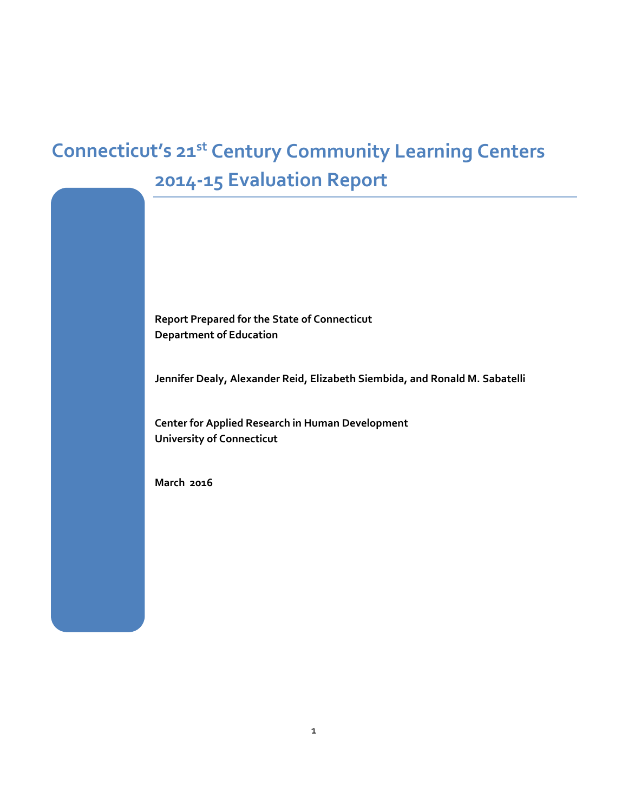# **Connecticut's 21st Century Community Learning Centers 2014-15 Evaluation Report**

**Report Prepared for the State of Connecticut Department of Education**

**Jennifer Dealy, Alexander Reid, Elizabeth Siembida, and Ronald M. Sabatelli**

**Center for Applied Research in Human Development University of Connecticut**

**March 2016**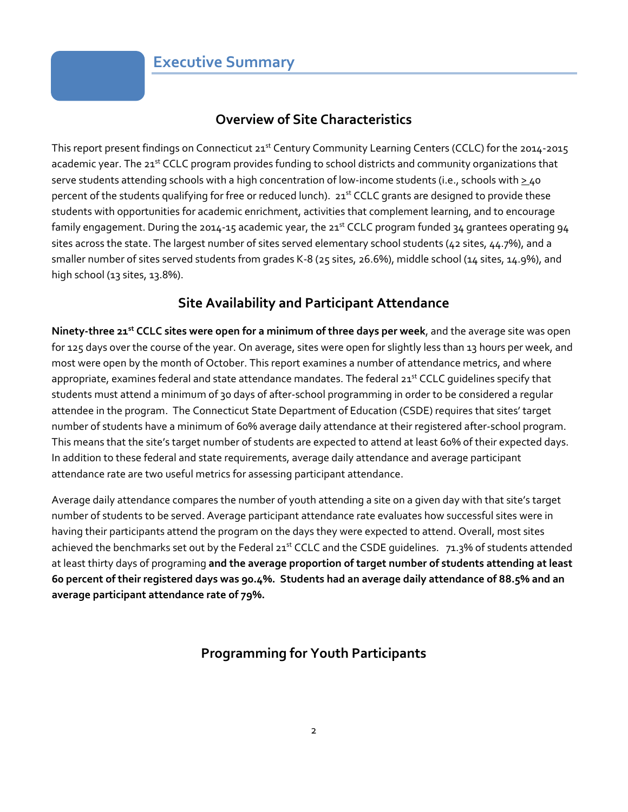### **Overview of Site Characteristics**

This report present findings on Connecticut 21<sup>st</sup> Century Community Learning Centers (CCLC) for the 2014-2015 academic year. The 21st CCLC program provides funding to school districts and community organizations that serve students attending schools with a high concentration of low-income students (i.e., schools with  $\geq$ 40 percent of the students qualifying for free or reduced lunch). 21<sup>st</sup> CCLC grants are designed to provide these students with opportunities for academic enrichment, activities that complement learning, and to encourage family engagement. During the 2014-15 academic year, the 21<sup>st</sup> CCLC program funded 34 grantees operating 94 sites across the state. The largest number of sites served elementary school students (42 sites, 44.7%), and a smaller number of sites served students from grades K-8 (25 sites, 26.6%), middle school (14 sites, 14.9%), and high school (13 sites, 13.8%).

### **Site Availability and Participant Attendance**

**Ninety-three 21st CCLC sites were open for a minimum of three days per week**, and the average site was open for 125 days over the course of the year. On average, sites were open for slightly less than 13 hours per week, and most were open by the month of October. This report examines a number of attendance metrics, and where appropriate, examines federal and state attendance mandates. The federal 21<sup>st</sup> CCLC guidelines specify that students must attend a minimum of 30 days of after-school programming in order to be considered a regular attendee in the program. The Connecticut State Department of Education (CSDE) requires that sites' target number of students have a minimum of 60% average daily attendance at their registered after-school program. This means that the site's target number of students are expected to attend at least 60% of their expected days. In addition to these federal and state requirements, average daily attendance and average participant attendance rate are two useful metrics for assessing participant attendance.

Average daily attendance compares the number of youth attending a site on a given day with that site's target number of students to be served. Average participant attendance rate evaluates how successful sites were in having their participants attend the program on the days they were expected to attend. Overall, most sites achieved the benchmarks set out by the Federal 21<sup>st</sup> CCLC and the CSDE guidelines. 71.3% of students attended at least thirty days of programing **and the average proportion of target number of students attending at least 60 percent of their registered days was 90.4%. Students had an average daily attendance of 88.5% and an average participant attendance rate of 79%.**

# **Programming for Youth Participants**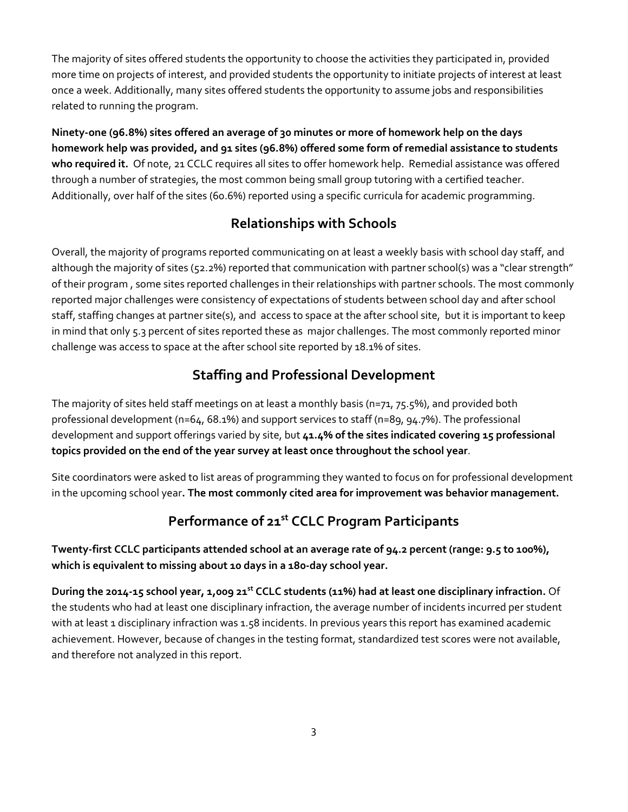The majority of sites offered students the opportunity to choose the activities they participated in, provided more time on projects of interest, and provided students the opportunity to initiate projects of interest at least once a week. Additionally, many sites offered students the opportunity to assume jobs and responsibilities related to running the program.

**Ninety-one (96.8%) sites offered an average of 30 minutes or more of homework help on the days homework help was provided, and 91 sites (96.8%) offered some form of remedial assistance to students who required it.** Of note, 21 CCLC requires all sites to offer homework help. Remedial assistance was offered through a number of strategies, the most common being small group tutoring with a certified teacher. Additionally, over half of the sites (60.6%) reported using a specific curricula for academic programming.

### **Relationships with Schools**

Overall, the majority of programs reported communicating on at least a weekly basis with school day staff, and although the majority of sites (52.2%) reported that communication with partner school(s) was a "clear strength" of their program , some sites reported challenges in their relationships with partner schools. The most commonly reported major challenges were consistency of expectations of students between school day and after school staff, staffing changes at partner site(s), and access to space at the after school site, but it is important to keep in mind that only 5.3 percent of sites reported these as major challenges. The most commonly reported minor challenge was access to space at the after school site reported by 18.1% of sites.

### **Staffing and Professional Development**

The majority of sites held staff meetings on at least a monthly basis (n=71, 75.5%), and provided both professional development (n=64, 68.1%) and support services to staff (n=89, 94.7%). The professional development and support offerings varied by site, but **41.4% of the sites indicated covering 15 professional topics provided on the end of the year survey at least once throughout the school year**.

Site coordinators were asked to list areas of programming they wanted to focus on for professional development in the upcoming school year**. The most commonly cited area for improvement was behavior management.**

# **Performance of 21st CCLC Program Participants**

**Twenty-first CCLC participants attended school at an average rate of 94.2 percent (range: 9.5 to 100%), which is equivalent to missing about 10 days in a 180-day school year.** 

**During the 2014-15 school year, 1,009 21st CCLC students (11%) had at least one disciplinary infraction.** Of the students who had at least one disciplinary infraction, the average number of incidents incurred per student with at least 1 disciplinary infraction was 1.58 incidents. In previous years this report has examined academic achievement. However, because of changes in the testing format, standardized test scores were not available, and therefore not analyzed in this report.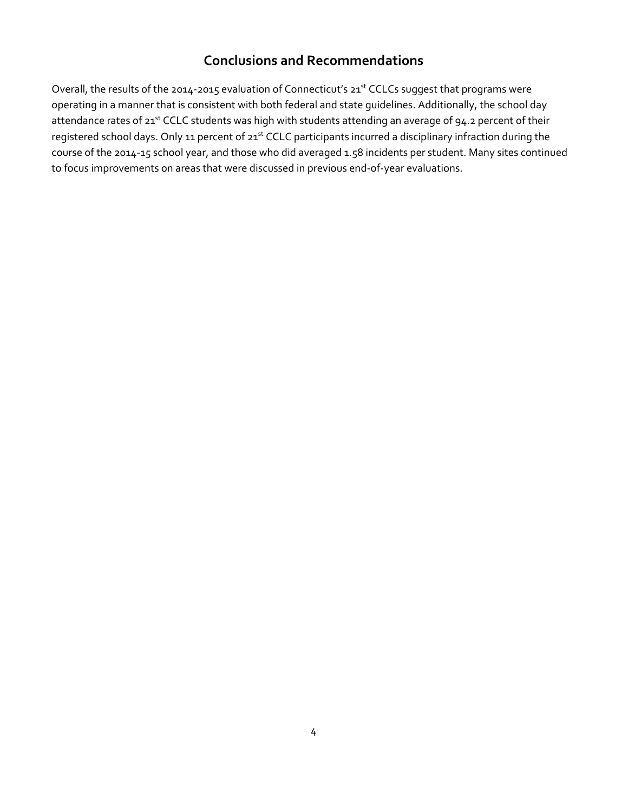### **Conclusions and Recommendations**

Overall, the results of the 2014-2015 evaluation of Connecticut's 21<sup>st</sup> CCLCs suggest that programs were operating in a manner that is consistent with both federal and state guidelines. Additionally, the school day attendance rates of 21<sup>st</sup> CCLC students was high with students attending an average of 94.2 percent of their registered school days. Only 11 percent of 21<sup>st</sup> CCLC participants incurred a disciplinary infraction during the course of the 2014-15 school year, and those who did averaged 1.58 incidents per student. Many sites continued to focus improvements on areas that were discussed in previous end-of-year evaluations.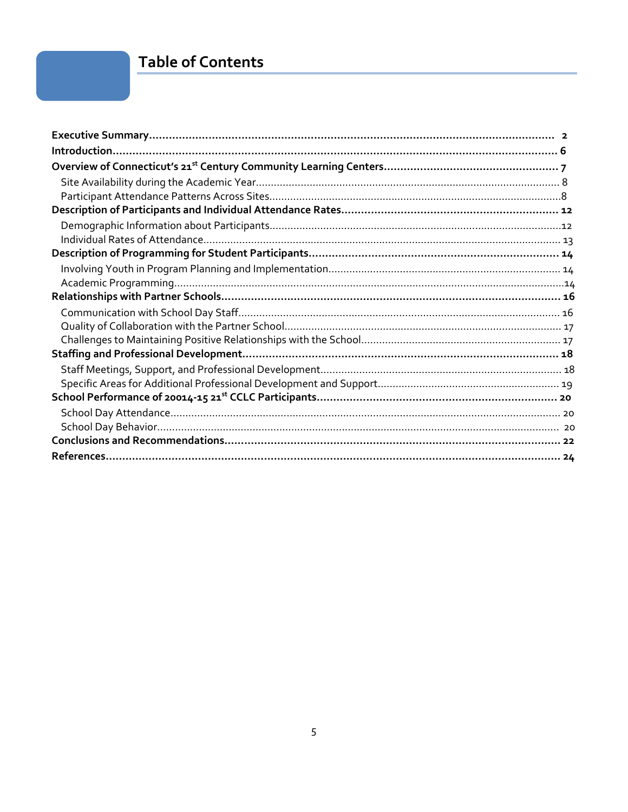# **Table of Contents**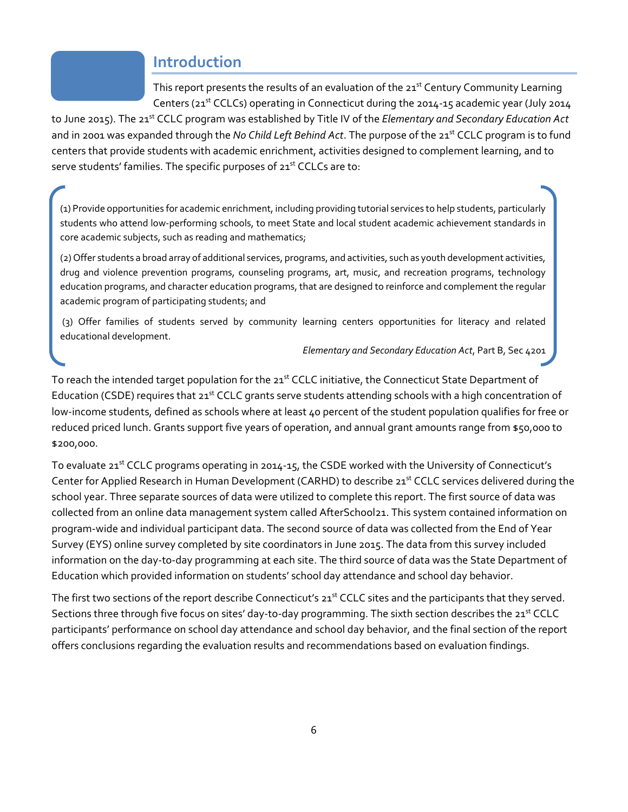### **Introduction**

This report presents the results of an evaluation of the 21<sup>st</sup> Century Community Learning Centers (21<sup>st</sup> CCLCs) operating in Connecticut during the 2014-15 academic year (July 2014

to June 2015). The 21st CCLC program was established by Title IV of the *Elementary and Secondary Education Act* and in 2001 was expanded through the *No Child Left Behind Act*. The purpose of the 21<sup>st</sup> CCLC program is to fund centers that provide students with academic enrichment, activities designed to complement learning, and to serve students' families. The specific purposes of 21<sup>st</sup> CCLCs are to:

(1) Provide opportunities for academic enrichment, including providing tutorial services to help students, particularly students who attend low-performing schools, to meet State and local student academic achievement standards in core academic subjects, such as reading and mathematics;

(2) Offer students a broad array of additional services, programs, and activities, such as youth development activities, drug and violence prevention programs, counseling programs, art, music, and recreation programs, technology education programs, and character education programs, that are designed to reinforce and complement the regular academic program of participating students; and

(3) Offer families of students served by community learning centers opportunities for literacy and related educational development.

*Elementary and Secondary Education Act*, Part B, Sec 4201

To reach the intended target population for the 21<sup>st</sup> CCLC initiative, the Connecticut State Department of Education (CSDE) requires that 21<sup>st</sup> CCLC grants serve students attending schools with a high concentration of low-income students, defined as schools where at least 40 percent of the student population qualifies for free or reduced priced lunch. Grants support five years of operation, and annual grant amounts range from \$50,000 to \$200,000.

To evaluate 21<sup>st</sup> CCLC programs operating in 2014-15, the CSDE worked with the University of Connecticut's Center for Applied Research in Human Development (CARHD) to describe 21<sup>st</sup> CCLC services delivered during the school year. Three separate sources of data were utilized to complete this report. The first source of data was collected from an online data management system called AfterSchool21. This system contained information on program-wide and individual participant data. The second source of data was collected from the End of Year Survey (EYS) online survey completed by site coordinators in June 2015. The data from this survey included information on the day-to-day programming at each site. The third source of data was the State Department of Education which provided information on students' school day attendance and school day behavior.

The first two sections of the report describe Connecticut's 21<sup>st</sup> CCLC sites and the participants that they served. Sections three through five focus on sites' day-to-day programming. The sixth section describes the 21<sup>st</sup> CCLC participants' performance on school day attendance and school day behavior, and the final section of the report offers conclusions regarding the evaluation results and recommendations based on evaluation findings.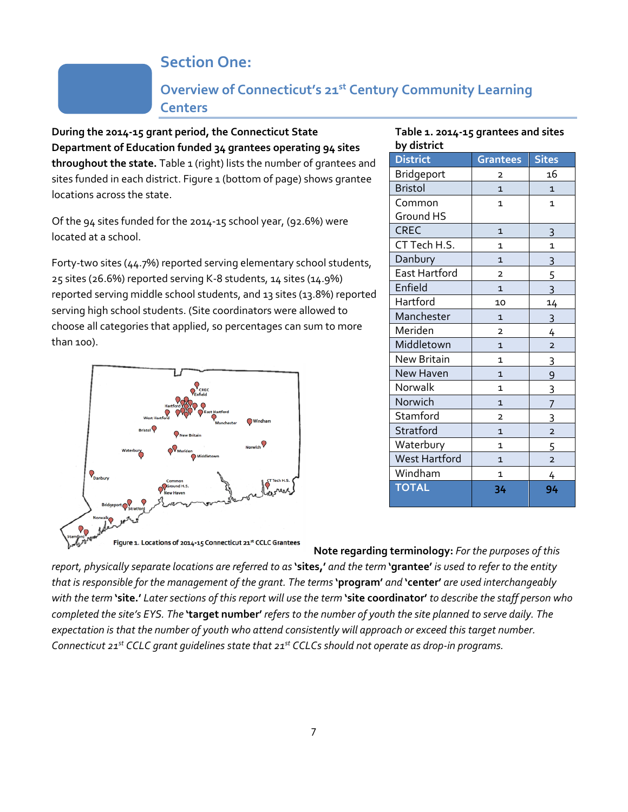# **Section One:**

### **Overview of Connecticut's 21st Century Community Learning Centers**

**During the 2014-15 grant period, the Connecticut State Department of Education funded 34 grantees operating 94 sites**  throughout the state. Table 1 (right) lists the number of grantees and sites funded in each district. Figure 1 (bottom of page) shows grantee locations across the state.

Of the 94 sites funded for the 2014-15 school year, (92.6%) were located at a school.

Forty-two sites (44.7%) reported serving elementary school students, 25 sites (26.6%) reported serving K-8 students, 14 sites (14.9%) reported serving middle school students, and 13 sites (13.8%) reported serving high school students. (Site coordinators were allowed to choose all categories that applied, so percentages can sum to more than 100).



#### **Table 1. 2014-15 grantees and sites by district**

| $\sim$ $\mu$ and contains to |                         |                         |  |
|------------------------------|-------------------------|-------------------------|--|
| <b>District</b>              | <b>Grantees</b>         | <b>Sites</b>            |  |
| Bridgeport                   | 2                       | 16                      |  |
| <b>Bristol</b>               | $\mathbf{1}$            | $\mathbf{1}$            |  |
| Common                       | $\mathbf{1}$            | $\mathbf{1}$            |  |
| Ground HS                    |                         |                         |  |
| <b>CREC</b>                  | $\mathbf{1}$            | 3                       |  |
| CT Tech H.S.                 | 1                       | $\mathbf{1}$            |  |
| Danbury                      | $\mathbf{1}$            | $\overline{3}$          |  |
| East Hartford                | $\overline{\mathbf{c}}$ | 5                       |  |
| Enfield                      | $\overline{1}$          | 3                       |  |
| Hartford                     | 10                      | 14                      |  |
| Manchester                   | $\mathbf{1}$            | $\overline{3}$          |  |
| Meriden                      | $\overline{2}$          | 4                       |  |
| Middletown                   | $\overline{1}$          | $\overline{2}$          |  |
| <b>New Britain</b>           | 1                       | 3                       |  |
| <b>New Haven</b>             | 1                       | 9                       |  |
| Norwalk                      | $\mathbf{1}$            | 3                       |  |
| Norwich                      | 1                       | 7                       |  |
| Stamford                     | $\overline{\mathbf{c}}$ | 3                       |  |
| Stratford                    | $\mathbf{1}$            | $\overline{\mathbf{c}}$ |  |
| Waterbury                    | $\mathbf{1}$            | 5                       |  |
| <b>West Hartford</b>         | $\mathbf{1}$            | $\overline{\mathbf{c}}$ |  |
| Windham                      | 1                       | 4                       |  |
| <b>TOTAL</b>                 | 34                      | 94                      |  |

**Note regarding terminology:** *For the purposes of this report, physically separate locations are referred to as* **'sites,'** *and the term* **'grantee'** *is used to refer to the entity that is responsible for the management of the grant. The terms* **'program'** *and* **'center'** *are used interchangeably with the term* **'site.'** *Later sections of this report will use the term* **'site coordinator'** *to describe the staff person who completed the site's EYS. The* **'target number'** *refers to the number of youth the site planned to serve daily. The expectation is that the number of youth who attend consistently will approach or exceed this target number. Connecticut 21st CCLC grant guidelines state that 21st CCLCs should not operate as drop-in programs.*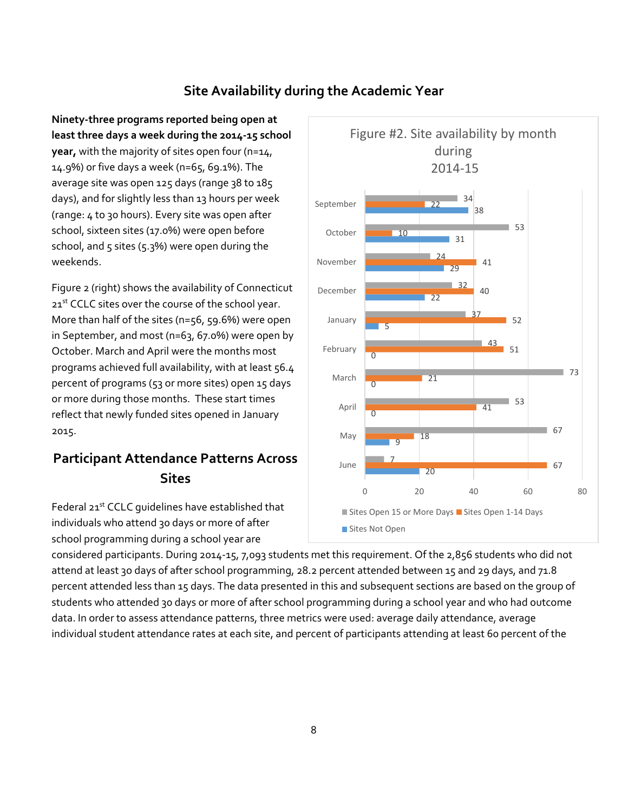### **Site Availability during the Academic Year**

**Ninety-three programs reported being open at least three days a week during the 2014-15 school year,** with the majority of sites open four (n=14, 14.9%) or five days a week (n=65, 69.1%). The average site was open 125 days (range 38 to 185 days), and for slightly less than 13 hours per week (range: 4 to 30 hours). Every site was open after school, sixteen sites (17.0%) were open before school, and  $5$  sites ( $5.3%$ ) were open during the weekends.

Figure 2 (right) shows the availability of Connecticut 21st CCLC sites over the course of the school year. More than half of the sites (n=56, 59.6%) were open in September, and most (n=63, 67.0%) were open by October. March and April were the months most programs achieved full availability, with at least 56.4 percent of programs (53 or more sites) open 15 days or more during those months. These start times reflect that newly funded sites opened in January 2015.

# **Participant Attendance Patterns Across Sites**

Federal 21<sup>st</sup> CCLC quidelines have established that individuals who attend 30 days or more of after school programming during a school year are



considered participants. During 2014-15, 7,093 students met this requirement. Of the 2,856 students who did not attend at least 3o days of after school programming, 28.2 percent attended between 15 and 29 days, and 71.8 percent attended less than 15 days. The data presented in this and subsequent sections are based on the group of students who attended 30 days or more of after school programming during a school year and who had outcome data. In order to assess attendance patterns, three metrics were used: average daily attendance, average individual student attendance rates at each site, and percent of participants attending at least 60 percent of the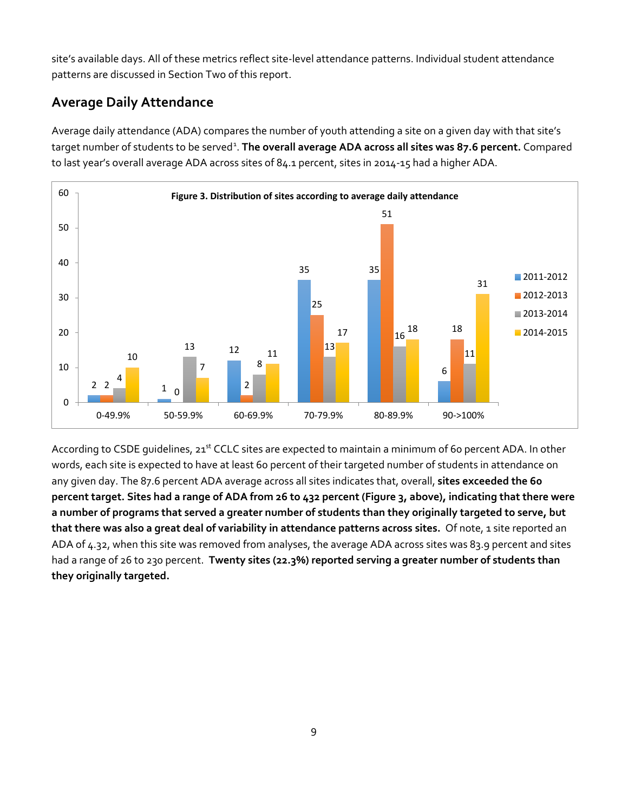site's available days. All of these metrics reflect site-level attendance patterns. Individual student attendance patterns are discussed in Section Two of this report.

### **Average Daily Attendance**

Average daily attendance (ADA) compares the number of youth attending a site on a given day with that site's target number of students to be served<sup>[1](#page-24-0)</sup>. The overall average ADA across all sites was 87.6 percent. Compared to last year's overall average ADA across sites of 84.1 percent, sites in 2014-15 had a higher ADA.



According to CSDE quidelines, 21<sup>st</sup> CCLC sites are expected to maintain a minimum of 60 percent ADA. In other words, each site is expected to have at least 60 percent of their targeted number of students in attendance on any given day. The 87.6 percent ADA average across all sites indicates that, overall, **sites exceeded the 60 percent target. Sites had a range of ADA from 26 to 432 percent (Figure 3, above), indicating that there were a number of programs that served a greater number of students than they originally targeted to serve, but that there was also a great deal of variability in attendance patterns across sites.** Of note, 1 site reported an ADA of 4.32, when this site was removed from analyses, the average ADA across sites was 83.9 percent and sites had a range of 26 to 230 percent. **Twenty sites (22.3%) reported serving a greater number of students than they originally targeted.**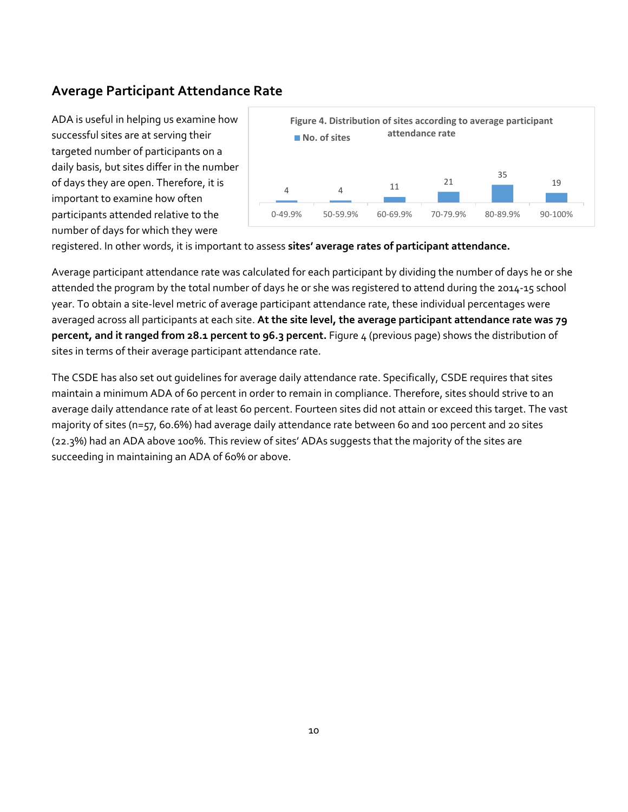### **Average Participant Attendance Rate**

ADA is useful in helping us examine how successful sites are at serving their targeted number of participants on a daily basis, but sites differ in the number of days they are open. Therefore, it is important to examine how often participants attended relative to the number of days for which they were



registered. In other words, it is important to assess **sites' average rates of participant attendance.**

Average participant attendance rate was calculated for each participant by dividing the number of days he or she attended the program by the total number of days he or she was registered to attend during the 2014-15 school year. To obtain a site-level metric of average participant attendance rate, these individual percentages were averaged across all participants at each site. **At the site level, the average participant attendance rate was 79 percent, and it ranged from 28.1 percent to 96.3 percent.** Figure 4 (previous page) shows the distribution of sites in terms of their average participant attendance rate.

The CSDE has also set out guidelines for average daily attendance rate. Specifically, CSDE requires that sites maintain a minimum ADA of 60 percent in order to remain in compliance. Therefore, sites should strive to an average daily attendance rate of at least 60 percent. Fourteen sites did not attain or exceed this target. The vast majority of sites (n=57, 60.6%) had average daily attendance rate between 60 and 100 percent and 20 sites (22.3%) had an ADA above 100%. This review of sites' ADAs suggests that the majority of the sites are succeeding in maintaining an ADA of 60% or above.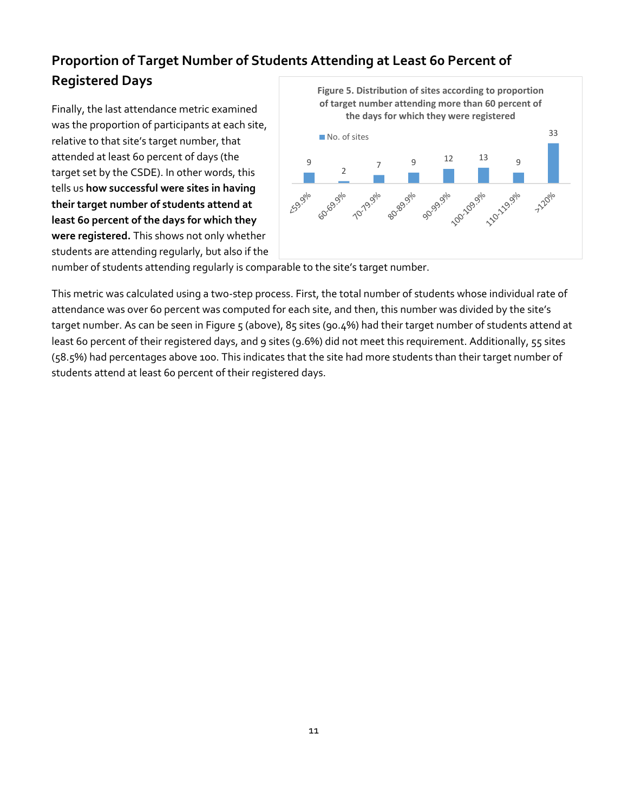# **Proportion of Target Number of Students Attending at Least 60 Percent of Registered Days**

Finally, the last attendance metric examined was the proportion of participants at each site, relative to that site's target number, that attended at least 60 percent of days (the target set by the CSDE). In other words, this tells us **how successful were sites in having their target number of students attend at least 60 percent of the days for which they were registered.** This shows not only whether students are attending regularly, but also if the



number of students attending regularly is comparable to the site's target number.

This metric was calculated using a two-step process. First, the total number of students whose individual rate of attendance was over 60 percent was computed for each site, and then, this number was divided by the site's target number. As can be seen in Figure 5 (above), 85 sites (90.4%) had their target number of students attend at least 60 percent of their registered days, and 9 sites (9.6%) did not meet this requirement. Additionally, 55 sites (58.5%) had percentages above 100. This indicates that the site had more students than their target number of students attend at least 60 percent of their registered days.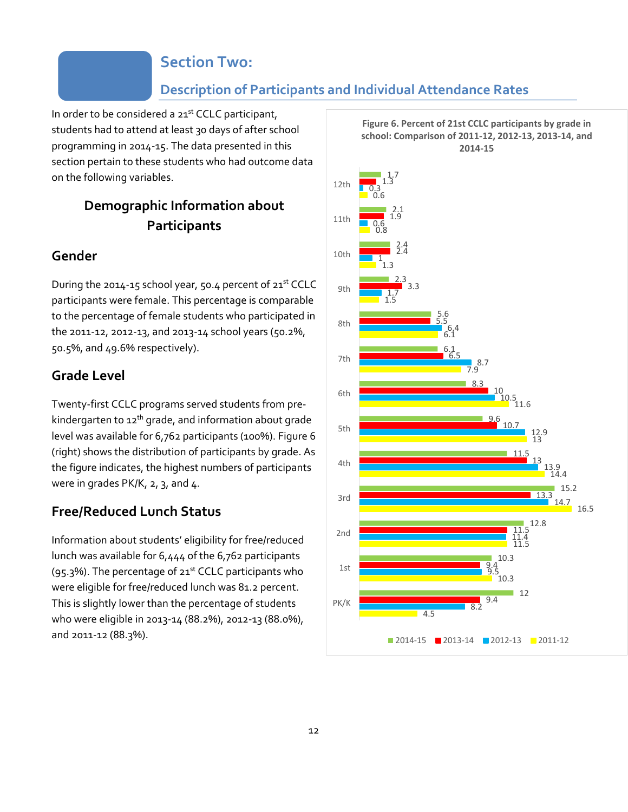### **Section Two:**

### **Description of Participants and Individual Attendance Rates**

In order to be considered a 21<sup>st</sup> CCLC participant, students had to attend at least 30 days of after school programming in 2014-15. The data presented in this section pertain to these students who had outcome data on the following variables.

### **Demographic Information about Participants**

### **Gender**

During the 2014-15 school year, 50.4 percent of 21st CCLC participants were female. This percentage is comparable to the percentage of female students who participated in the 2011-12, 2012-13, and 2013-14 school years (50.2%, 50.5%, and 49.6% respectively).

### **Grade Level**

Twenty-first CCLC programs served students from prekindergarten to 12<sup>th</sup> grade, and information about grade level was available for 6,762 participants (100%). Figure 6 (right) shows the distribution of participants by grade. As the figure indicates, the highest numbers of participants were in grades PK/K, 2, 3, and 4.

### **Free/Reduced Lunch Status**

Information about students' eligibility for free/reduced lunch was available for 6,444 of the 6,762 participants (95.3%). The percentage of  $21<sup>st</sup>$  CCLC participants who were eligible for free/reduced lunch was 81.2 percent. This is slightly lower than the percentage of students who were eligible in 2013-14 (88.2%), 2012-13 (88.0%), and 2011-12 (88.3%).

**Figure 6. Percent of 21st CCLC participants by grade in school: Comparison of 2011-12, 2012-13, 2013-14, and 2014-15**

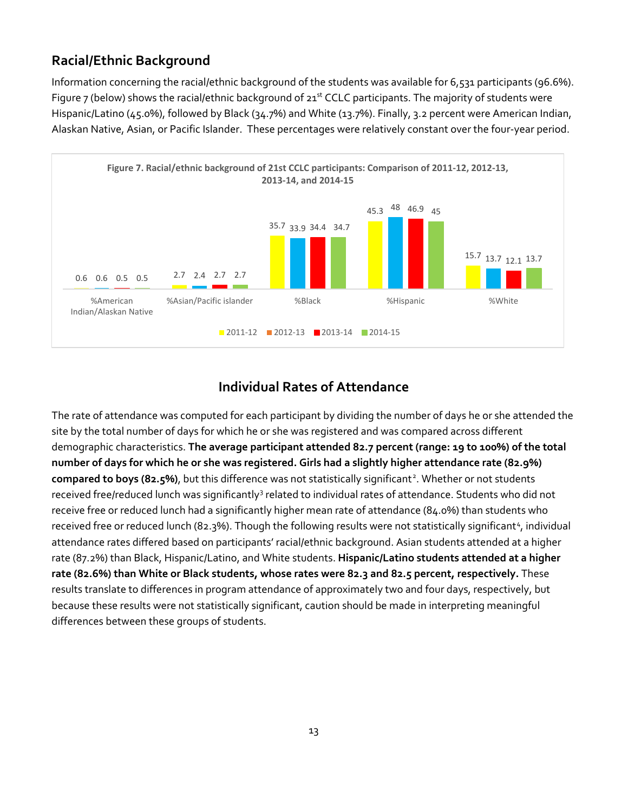### **Racial/Ethnic Background**

Information concerning the racial/ethnic background of the students was available for 6,531 participants (96.6%). Figure 7 (below) shows the racial/ethnic background of  $21^{st}$  CCLC participants. The majority of students were Hispanic/Latino (45.0%), followed by Black (34.7%) and White (13.7%). Finally, 3.2 percent were American Indian, Alaskan Native, Asian, or Pacific Islander. These percentages were relatively constant over the four-year period.



### **Individual Rates of Attendance**

The rate of attendance was computed for each participant by dividing the number of days he or she attended the site by the total number of days for which he or she was registered and was compared across different demographic characteristics. **The average participant attended 82.7 percent (range: 19 to 100%) of the total number of days for which he or she was registered. Girls had a slightly higher attendance rate (82.9%)**  compared to boys (8[2](#page-24-1).5%), but this difference was not statistically significant<sup>2</sup>. Whether or not students received free/reduced lunch was significantly<sup>[3](#page-24-2)</sup> related to individual rates of attendance. Students who did not receive free or reduced lunch had a significantly higher mean rate of attendance (84.0%) than students who received free or reduced lunch (82.3%). Though the following results were not statistically significant<sup>[4](#page-24-3)</sup>, individual attendance rates differed based on participants' racial/ethnic background. Asian students attended at a higher rate (87.2%) than Black, Hispanic/Latino, and White students. **Hispanic/Latino students attended at a higher rate (82.6%) than White or Black students, whose rates were 82.3 and 82.5 percent, respectively.** These results translate to differences in program attendance of approximately two and four days, respectively, but because these results were not statistically significant, caution should be made in interpreting meaningful differences between these groups of students.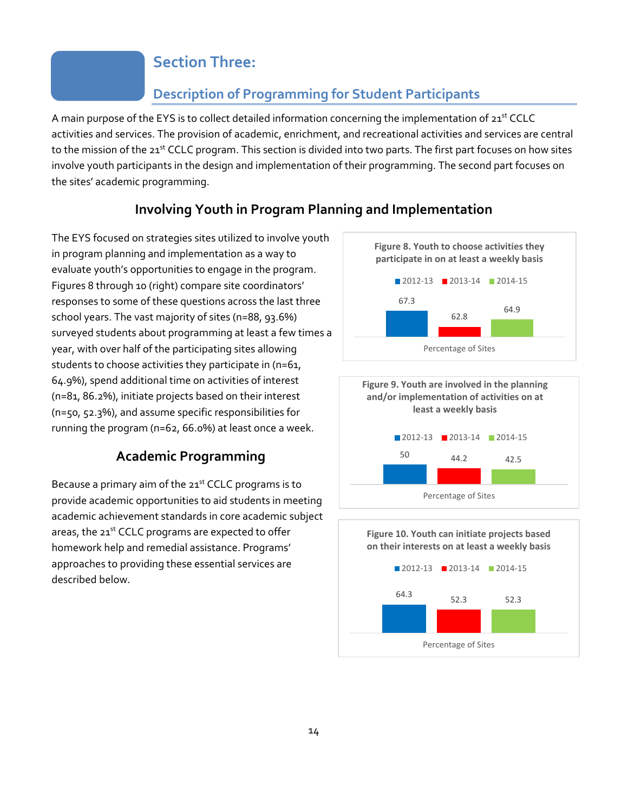### **Section Three:**

### **Description of Programming for Student Participants**

A main purpose of the EYS is to collect detailed information concerning the implementation of 21<sup>st</sup> CCLC activities and services. The provision of academic, enrichment, and recreational activities and services are central to the mission of the 21<sup>st</sup> CCLC program. This section is divided into two parts. The first part focuses on how sites involve youth participants in the design and implementation of their programming. The second part focuses on the sites' academic programming.

### **Involving Youth in Program Planning and Implementation**

The EYS focused on strategies sites utilized to involve youth in program planning and implementation as a way to evaluate youth's opportunities to engage in the program. Figures 8 through 10 (right) compare site coordinators' responses to some of these questions across the last three school years. The vast majority of sites (n=88, 93.6%) surveyed students about programming at least a few times a year, with over half of the participating sites allowing students to choose activities they participate in (n=61, 64.9%), spend additional time on activities of interest (n=81, 86.2%), initiate projects based on their interest (n=50, 52.3%), and assume specific responsibilities for running the program (n=62, 66.0%) at least once a week.

### **Academic Programming**

Because a primary aim of the  $21<sup>st</sup>$  CCLC programs is to provide academic opportunities to aid students in meeting academic achievement standards in core academic subject areas, the 21st CCLC programs are expected to offer homework help and remedial assistance. Programs' approaches to providing these essential services are described below.





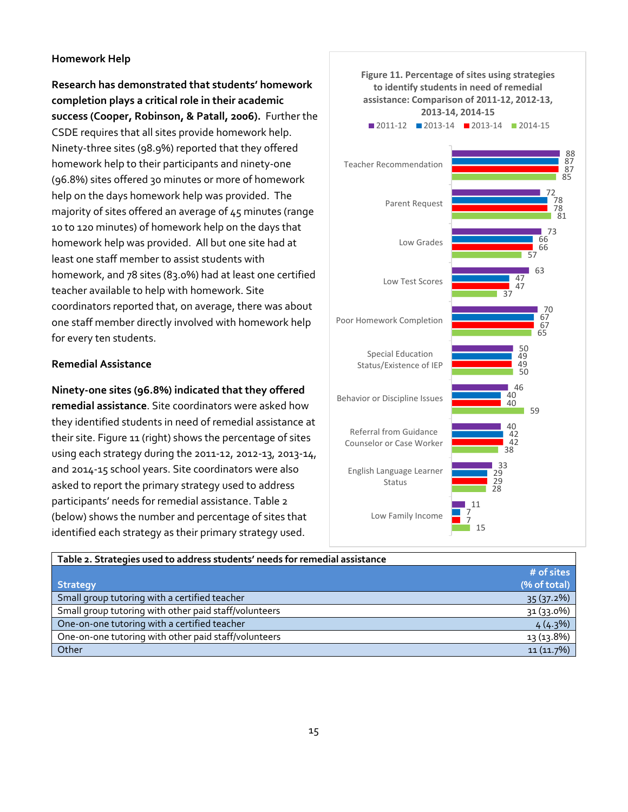#### **Homework Help**

**Research has demonstrated that students' homework completion plays a critical role in their academic success (Cooper, Robinson, & Patall, 2006).** Further the CSDE requires that all sites provide homework help. Ninety-three sites (98.9%) reported that they offered homework help to their participants and ninety-one (96.8%) sites offered 30 minutes or more of homework help on the days homework help was provided. The majority of sites offered an average of 45 minutes (range 10 to 120 minutes) of homework help on the days that homework help was provided. All but one site had at least one staff member to assist students with homework, and 78 sites (83.0%) had at least one certified teacher available to help with homework. Site coordinators reported that, on average, there was about one staff member directly involved with homework help for every ten students.

#### **Remedial Assistance**

#### **Ninety-one sites (96.8%) indicated that they offered**

**remedial assistance**. Site coordinators were asked how they identified students in need of remedial assistance at their site. Figure 11 (right) shows the percentage of sites using each strategy during the 2011-12, 2012-13, 2013-14, and 2014-15 school years. Site coordinators were also asked to report the primary strategy used to address participants' needs for remedial assistance. Table 2 (below) shows the number and percentage of sites that identified each strategy as their primary strategy used.



| Table 2. Strategies used to address students' needs for remedial assistance |              |
|-----------------------------------------------------------------------------|--------------|
|                                                                             | # of sites   |
| <b>Strategy</b>                                                             | (% of total) |
| Small group tutoring with a certified teacher                               | 35(37.2%)    |
| Small group tutoring with other paid staff/volunteers                       | 31 (33.0%)   |
| One-on-one tutoring with a certified teacher                                | 4(4.3%)      |
| One-on-one tutoring with other paid staff/volunteers                        | 13 (13.8%)   |
| Other                                                                       | 11(11.7%)    |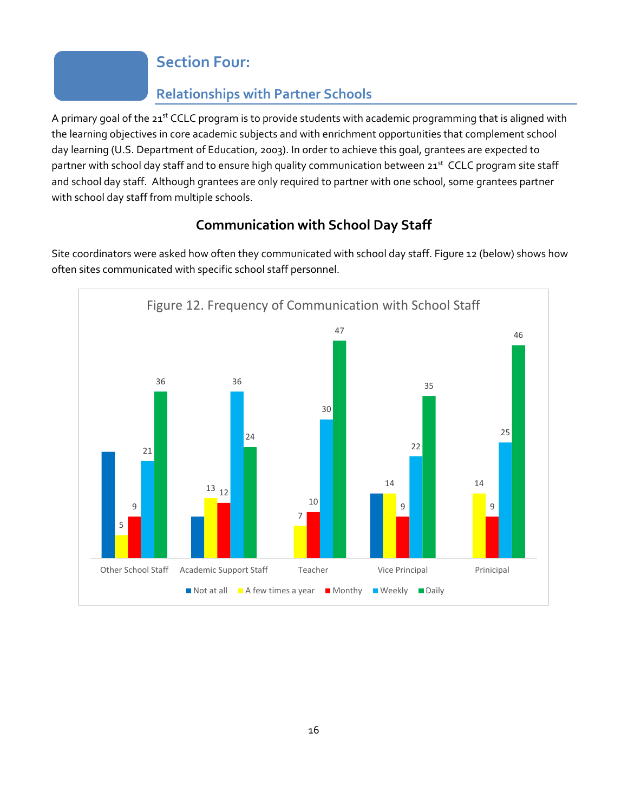# **Section Four:**

# **Relationships with Partner Schools**

A primary goal of the 21<sup>st</sup> CCLC program is to provide students with academic programming that is aligned with the learning objectives in core academic subjects and with enrichment opportunities that complement school day learning (U.S. Department of Education, 2003). In order to achieve this goal, grantees are expected to partner with school day staff and to ensure high quality communication between 21<sup>st</sup> CCLC program site staff and school day staff. Although grantees are only required to partner with one school, some grantees partner with school day staff from multiple schools.

# **Communication with School Day Staff**

Site coordinators were asked how often they communicated with school day staff. Figure 12 (below) shows how often sites communicated with specific school staff personnel.

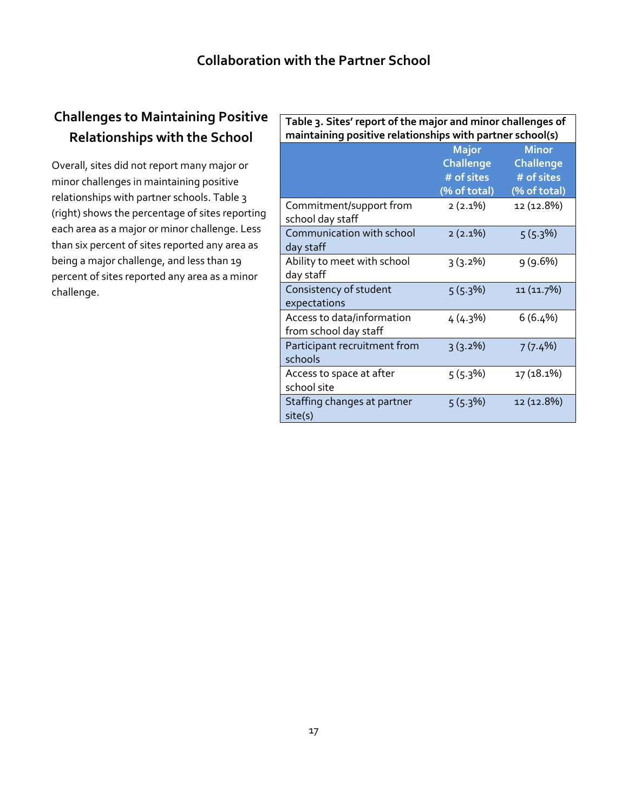# **Challenges to Maintaining Positive Relationships with the School**

Overall, sites did not report many major or minor challenges in maintaining positive relationships with partner schools. Table 3 (right) shows the percentage of sites reporting each area as a major or minor challenge. Less than six percent of sites reported any area as being a major challenge, and less than 19 percent of sites reported any area as a minor challenge.

| Table 3. Sites' report of the major and minor challenges of<br>maintaining positive relationships with partner school(s) |                                                         |                                                                |  |
|--------------------------------------------------------------------------------------------------------------------------|---------------------------------------------------------|----------------------------------------------------------------|--|
|                                                                                                                          | Major<br><b>Challenge</b><br># of sites<br>(% of total) | <b>Minor</b><br><b>Challenge</b><br># of sites<br>(% of total) |  |
| Commitment/support from<br>school day staff                                                                              | $2(2.1\%)$                                              | 12 (12.8%)                                                     |  |
| Communication with school<br>day staff                                                                                   | $2(2.1\%)$                                              | $5(5.3\%)$                                                     |  |
| Ability to meet with school<br>day staff                                                                                 | $3(3.2\%)$                                              | 9(9.6%)                                                        |  |
| Consistency of student<br>expectations                                                                                   | $5(5.3\%)$                                              | 11 (11.7%)                                                     |  |
| Access to data/information<br>from school day staff                                                                      | 4(4.3%)                                                 | $6(6.4\%)$                                                     |  |
| Participant recruitment from<br>schools                                                                                  | 3(3.2%)                                                 | 7(7.4%)                                                        |  |
| Access to space at after<br>school site                                                                                  | $5(5.3\%)$                                              | 17 (18.1%)                                                     |  |
| Staffing changes at partner<br>site(s)                                                                                   | 5(5.3%)                                                 | 12 (12.8%)                                                     |  |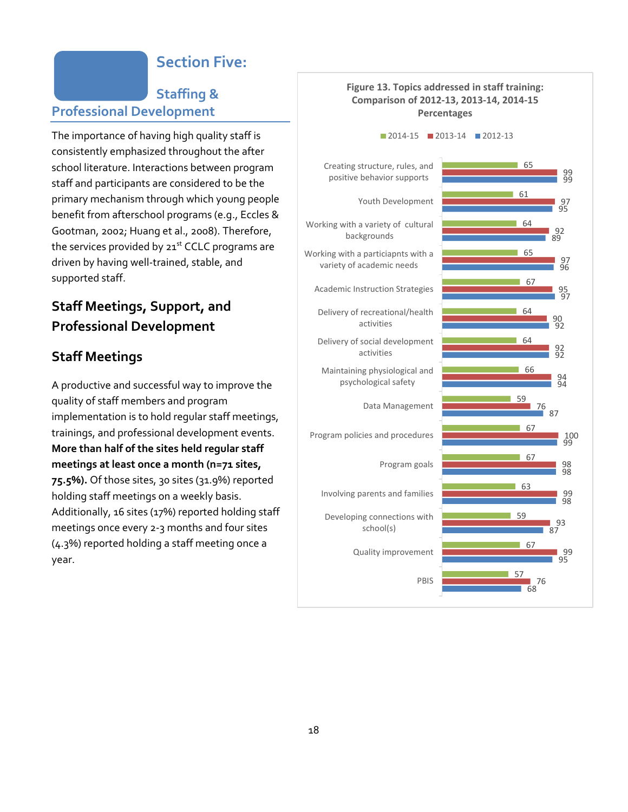# **Section Five:**

### **Staffing & Professional Development**

The importance of having high quality staff is consistently emphasized throughout the after school literature. Interactions between program staff and participants are considered to be the primary mechanism through which young people benefit from afterschool programs (e.g., Eccles & Gootman, 2002; Huang et al., 2008). Therefore, the services provided by  $21<sup>st</sup>$  CCLC programs are driven by having well-trained, stable, and supported staff.

### **Staff Meetings, Support, and Professional Development**

### **Staff Meetings**

A productive and successful way to improve the quality of staff members and program implementation is to hold regular staff meetings, trainings, and professional development events. **More than half of the sites held regular staff meetings at least once a month (n=71 sites, 75.5%).** Of those sites, 30 sites (31.9%) reported holding staff meetings on a weekly basis. Additionally, 16 sites (17%) reported holding staff meetings once every 2-3 months and four sites (4.3%) reported holding a staff meeting once a year.

#### **Figure 13. Topics addressed in staff training: Comparison of 2012-13, 2013-14, 2014-15 Percentages**

2014-15 2013-14 2012-13

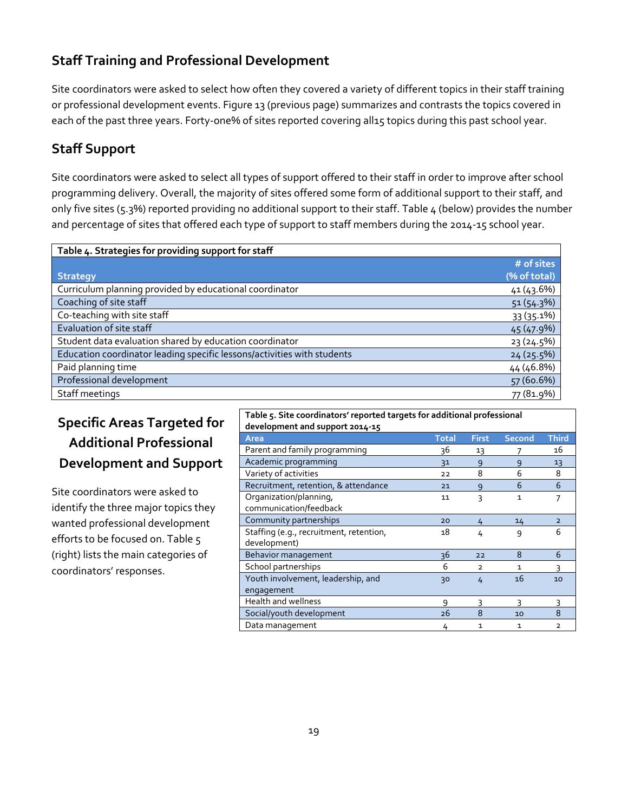### **Staff Training and Professional Development**

Site coordinators were asked to select how often they covered a variety of different topics in their staff training or professional development events. Figure 13 (previous page) summarizes and contrasts the topics covered in each of the past three years. Forty-one% of sites reported covering all15 topics during this past school year.

### **Staff Support**

Site coordinators were asked to select all types of support offered to their staff in order to improve after school programming delivery. Overall, the majority of sites offered some form of additional support to their staff, and only five sites (5.3%) reported providing no additional support to their staff. Table 4 (below) provides the number and percentage of sites that offered each type of support to staff members during the 2014-15 school year.

| Table 4. Strategies for providing support for staff                     |              |
|-------------------------------------------------------------------------|--------------|
|                                                                         | # of sites   |
| <b>Strategy</b>                                                         | (% of total) |
| Curriculum planning provided by educational coordinator                 | 41 (43.6%)   |
| Coaching of site staff                                                  | 51(54.3%)    |
| Co-teaching with site staff                                             | 33 (35.1%)   |
| Evaluation of site staff                                                | 45 (47.9%)   |
| Student data evaluation shared by education coordinator                 | 23(24.5%)    |
| Education coordinator leading specific lessons/activities with students | 24(25.5%)    |
| Paid planning time                                                      | 44 (46.8%)   |
| Professional development                                                | 57 (60.6%)   |
| Staff meetings                                                          | 77 (81.9%)   |

# **Specific Areas Targeted for Additional Professional Development and Support**

Site coordinators were asked to identify the three major topics they wanted professional development efforts to be focused on. Table 5 (right) lists the main categories of coordinators' responses.

| development and support 2014-15                         |              |                |               |                |
|---------------------------------------------------------|--------------|----------------|---------------|----------------|
| Area                                                    | <b>Total</b> | <b>First</b>   | <b>Second</b> | <b>Third</b>   |
| Parent and family programming                           | 36           | 13             |               | 16             |
| Academic programming                                    | 31           | 9              | 9             | 13             |
| Variety of activities                                   | 22           | 8              | 6             | 8              |
| Recruitment, retention, & attendance                    | 21           | 9              | 6             | 6              |
| Organization/planning,<br>communication/feedback        | 11           | 3              | $\mathbf{1}$  | 7              |
| Community partnerships                                  | 20           | 4              | 14            | $\overline{2}$ |
| Staffing (e.g., recruitment, retention,<br>development) | 18           | 4              | 9             | 6              |
| Behavior management                                     | 36           | 22             | 8             | 6              |
| School partnerships                                     | 6            | $\overline{2}$ | $\mathbf{1}$  | ς              |
| Youth involvement, leadership, and<br>engagement        | 30           | 4              | 16            | 10             |
| <b>Health and wellness</b>                              | 9            | 3              | 3             | 3              |
| Social/youth development                                | 26           | 8              | 10            | 8              |
| Data management                                         | 4            | $\mathbf{1}$   | $\mathbf{1}$  | $\overline{2}$ |

**Table 5. Site coordinators' reported targets for additional professional**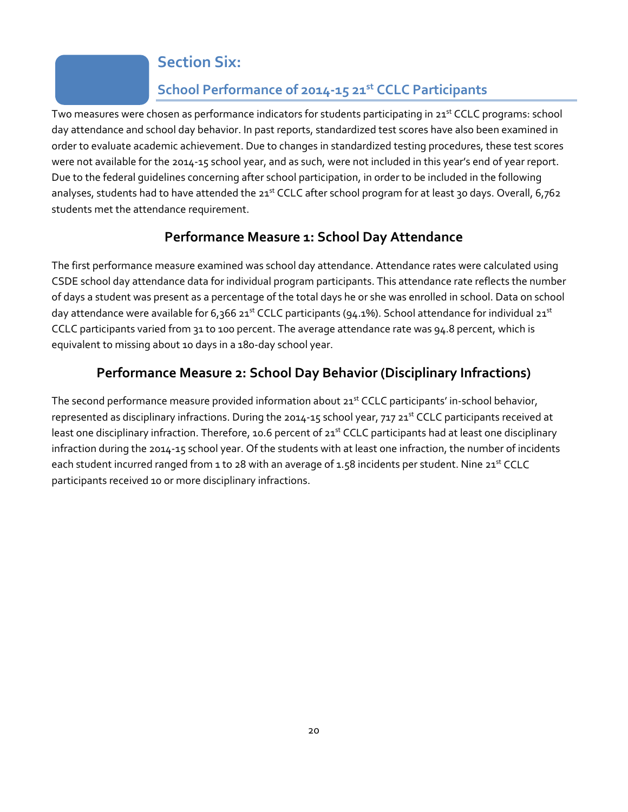# **Section Six:**

# **School Performance of 2014-15 21st CCLC Participants**

Two measures were chosen as performance indicators for students participating in 21<sup>st</sup> CCLC programs: school day attendance and school day behavior. In past reports, standardized test scores have also been examined in order to evaluate academic achievement. Due to changes in standardized testing procedures, these test scores were not available for the 2014-15 school year, and as such, were not included in this year's end of year report. Due to the federal guidelines concerning after school participation, in order to be included in the following analyses, students had to have attended the 21st CCLC after school program for at least 30 days. Overall, 6,762 students met the attendance requirement.

### **Performance Measure 1: School Day Attendance**

The first performance measure examined was school day attendance. Attendance rates were calculated using CSDE school day attendance data for individual program participants. This attendance rate reflects the number of days a student was present as a percentage of the total days he or she was enrolled in school. Data on school day attendance were available for 6,366 21<sup>st</sup> CCLC participants (94.1%). School attendance for individual 21<sup>st</sup> CCLC participants varied from 31 to 100 percent. The average attendance rate was 94.8 percent, which is equivalent to missing about 10 days in a 180-day school year.

### **Performance Measure 2: School Day Behavior (Disciplinary Infractions)**

The second performance measure provided information about 21<sup>st</sup> CCLC participants' in-school behavior, represented as disciplinary infractions. During the 2014-15 school year, 717 21<sup>st</sup> CCLC participants received at least one disciplinary infraction. Therefore, 10.6 percent of 21<sup>st</sup> CCLC participants had at least one disciplinary infraction during the 2014-15 school year. Of the students with at least one infraction, the number of incidents each student incurred ranged from 1 to 28 with an average of 1.58 incidents per student. Nine 21<sup>st</sup> CCLC participants received 10 or more disciplinary infractions.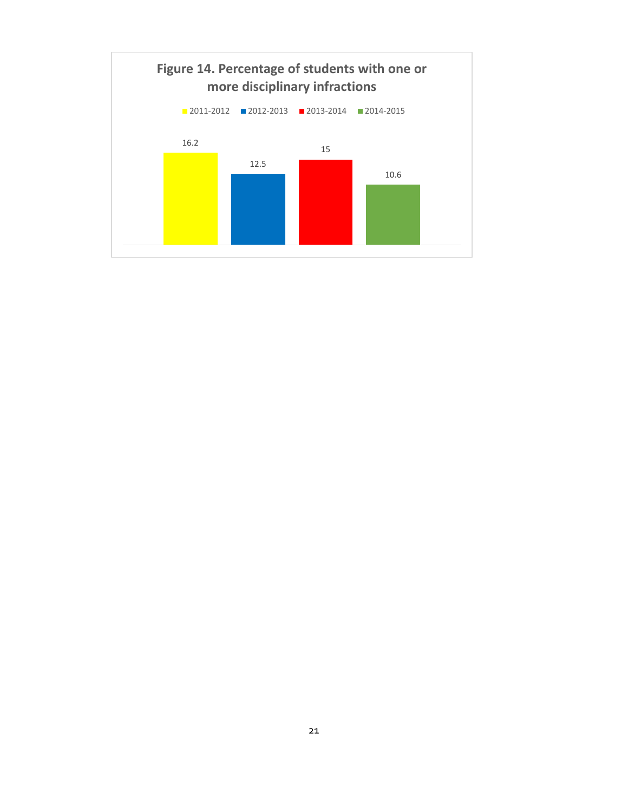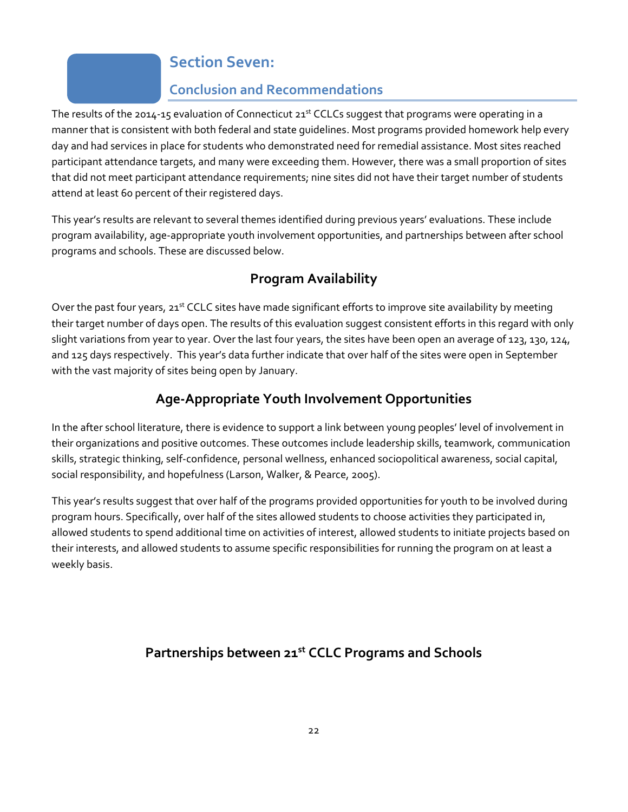# **Section Seven:**

### **Conclusion and Recommendations**

The results of the 2014-15 evaluation of Connecticut 21<sup>st</sup> CCLCs suggest that programs were operating in a manner that is consistent with both federal and state guidelines. Most programs provided homework help every day and had services in place for students who demonstrated need for remedial assistance. Most sites reached participant attendance targets, and many were exceeding them. However, there was a small proportion of sites that did not meet participant attendance requirements; nine sites did not have their target number of students attend at least 60 percent of their registered days.

This year's results are relevant to several themes identified during previous years' evaluations. These include program availability, age-appropriate youth involvement opportunities, and partnerships between after school programs and schools. These are discussed below.

# **Program Availability**

Over the past four years, 21st CCLC sites have made significant efforts to improve site availability by meeting their target number of days open. The results of this evaluation suggest consistent efforts in this regard with only slight variations from year to year. Over the last four years, the sites have been open an average of 123, 130, 124, and 125 days respectively. This year's data further indicate that over half of the sites were open in September with the vast majority of sites being open by January.

# **Age-Appropriate Youth Involvement Opportunities**

In the after school literature, there is evidence to support a link between young peoples' level of involvement in their organizations and positive outcomes. These outcomes include leadership skills, teamwork, communication skills, strategic thinking, self-confidence, personal wellness, enhanced sociopolitical awareness, social capital, social responsibility, and hopefulness (Larson, Walker, & Pearce, 2005).

This year's results suggest that over half of the programs provided opportunities for youth to be involved during program hours. Specifically, over half of the sites allowed students to choose activities they participated in, allowed students to spend additional time on activities of interest, allowed students to initiate projects based on their interests, and allowed students to assume specific responsibilities for running the program on at least a weekly basis.

# **Partnerships between 21st CCLC Programs and Schools**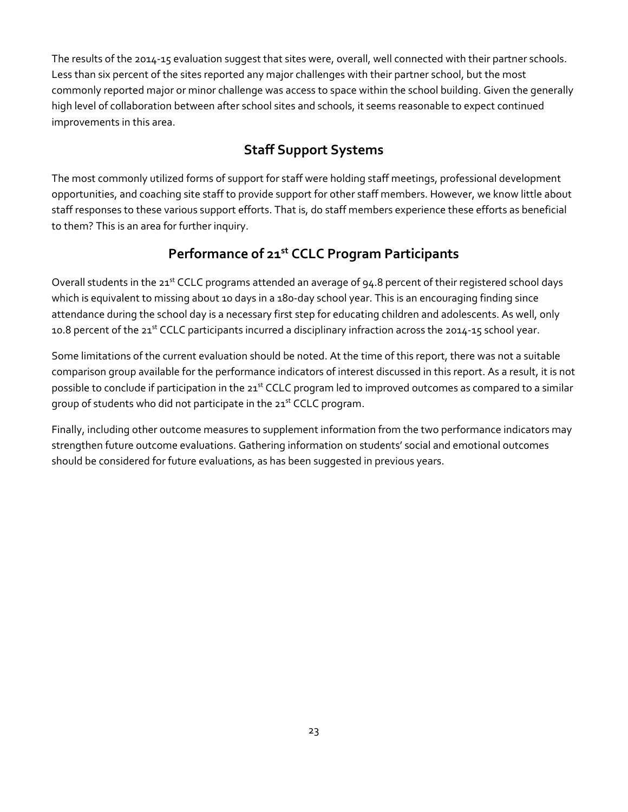The results of the 2014-15 evaluation suggest that sites were, overall, well connected with their partner schools. Less than six percent of the sites reported any major challenges with their partner school, but the most commonly reported major or minor challenge was access to space within the school building. Given the generally high level of collaboration between after school sites and schools, it seems reasonable to expect continued improvements in this area.

# **Staff Support Systems**

The most commonly utilized forms of support for staff were holding staff meetings, professional development opportunities, and coaching site staff to provide support for other staff members. However, we know little about staff responses to these various support efforts. That is, do staff members experience these efforts as beneficial to them? This is an area for further inquiry.

### **Performance of 21st CCLC Program Participants**

Overall students in the 21st CCLC programs attended an average of 94.8 percent of their registered school days which is equivalent to missing about 10 days in a 180-day school year. This is an encouraging finding since attendance during the school day is a necessary first step for educating children and adolescents. As well, only 10.8 percent of the 21<sup>st</sup> CCLC participants incurred a disciplinary infraction across the 2014-15 school year.

Some limitations of the current evaluation should be noted. At the time of this report, there was not a suitable comparison group available for the performance indicators of interest discussed in this report. As a result, it is not possible to conclude if participation in the 21<sup>st</sup> CCLC program led to improved outcomes as compared to a similar group of students who did not participate in the 21<sup>st</sup> CCLC program.

Finally, including other outcome measures to supplement information from the two performance indicators may strengthen future outcome evaluations. Gathering information on students' social and emotional outcomes should be considered for future evaluations, as has been suggested in previous years.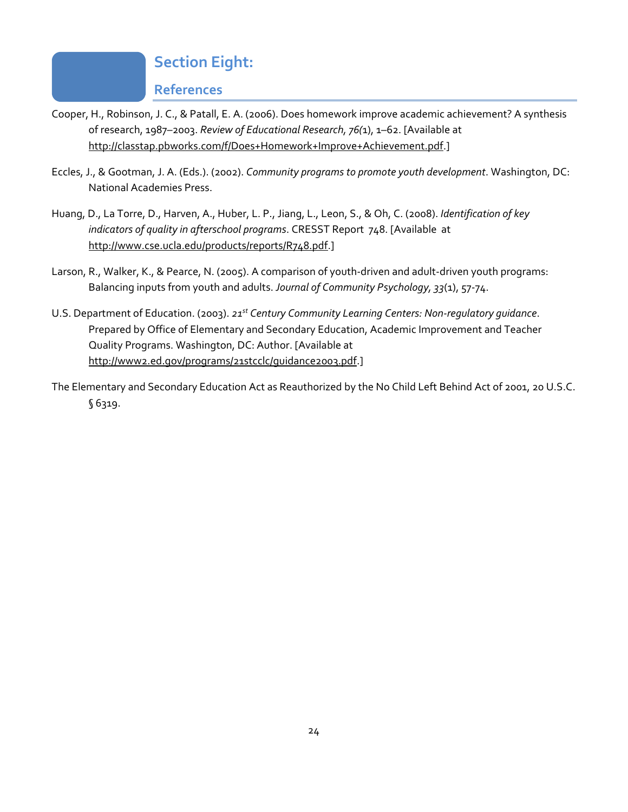# **Section Eight:**

**References**

- Cooper, H., Robinson, J. C., & Patall, E. A. (2006). Does homework improve academic achievement? A synthesis of research, 1987–2003. *Review of Educational Research, 76(*1), 1–62. [Available at [http://classtap.pbworks.com/f/Does+Homework+Improve+Achievement.pdf.](http://classtap.pbworks.com/f/Does+Homework+Improve+Achievement.pdf)]
- Eccles, J., & Gootman, J. A. (Eds.). (2002). *Community programs to promote youth development*. Washington, DC: National Academies Press.
- Huang, D., La Torre, D., Harven, A., Huber, L. P., Jiang, L., Leon, S., & Oh, C. (2008). *Identification of key indicators of quality in afterschool programs*. CRESST Report 748. [Available at [http://www.cse.ucla.edu/products/reports/R748.pdf.](http://www.cse.ucla.edu/products/reports/R748.pdf)]
- Larson, R., Walker, K., & Pearce, N. (2005). A comparison of youth-driven and adult-driven youth programs: Balancing inputs from youth and adults. *Journal of Community Psychology, 33*(1), 57-74.
- U.S. Department of Education. (2003). *21st Century Community Learning Centers: Non-regulatory guidance*. Prepared by Office of Elementary and Secondary Education, Academic Improvement and Teacher Quality Programs. Washington, DC: Author. [Available at [http://www2.ed.gov/programs/21stcclc/guidance2003.pdf.](http://www2.ed.gov/programs/21stcclc/guidance2003.pdf)]
- The Elementary and Secondary Education Act as Reauthorized by the No Child Left Behind Act of 2001, 20 U.S.C. § 6319.